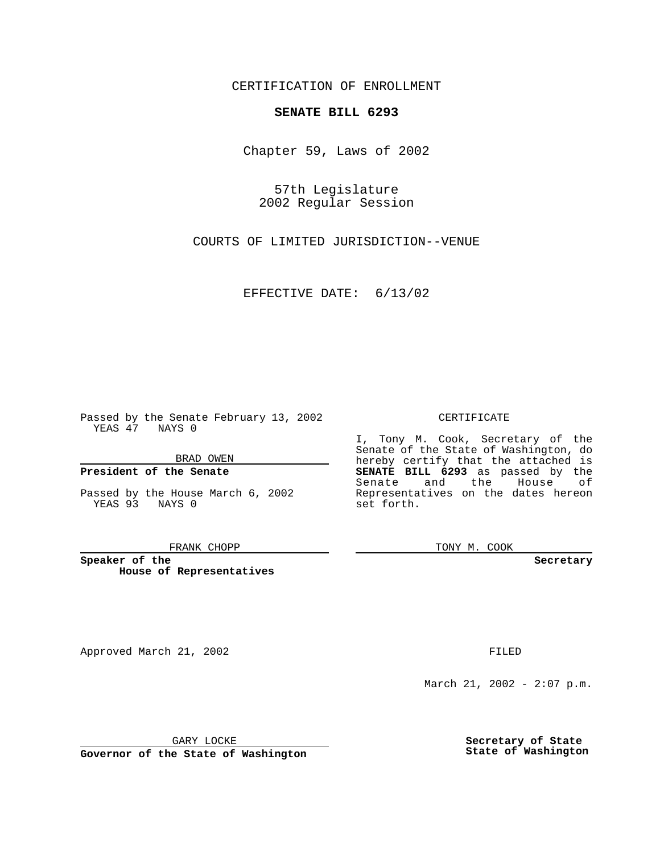CERTIFICATION OF ENROLLMENT

# **SENATE BILL 6293**

Chapter 59, Laws of 2002

57th Legislature 2002 Regular Session

COURTS OF LIMITED JURISDICTION--VENUE

EFFECTIVE DATE: 6/13/02

Passed by the Senate February 13, 2002 YEAS 47 NAYS 0

BRAD OWEN

### **President of the Senate**

Passed by the House March 6, 2002 YEAS 93 NAYS 0

#### FRANK CHOPP

**Speaker of the House of Representatives**

Approved March 21, 2002 **FILED** 

### CERTIFICATE

I, Tony M. Cook, Secretary of the Senate of the State of Washington, do hereby certify that the attached is **SENATE BILL 6293** as passed by the Senate and the House of Representatives on the dates hereon set forth.

TONY M. COOK

**Secretary**

March 21, 2002 - 2:07 p.m.

GARY LOCKE

**Governor of the State of Washington**

**Secretary of State State of Washington**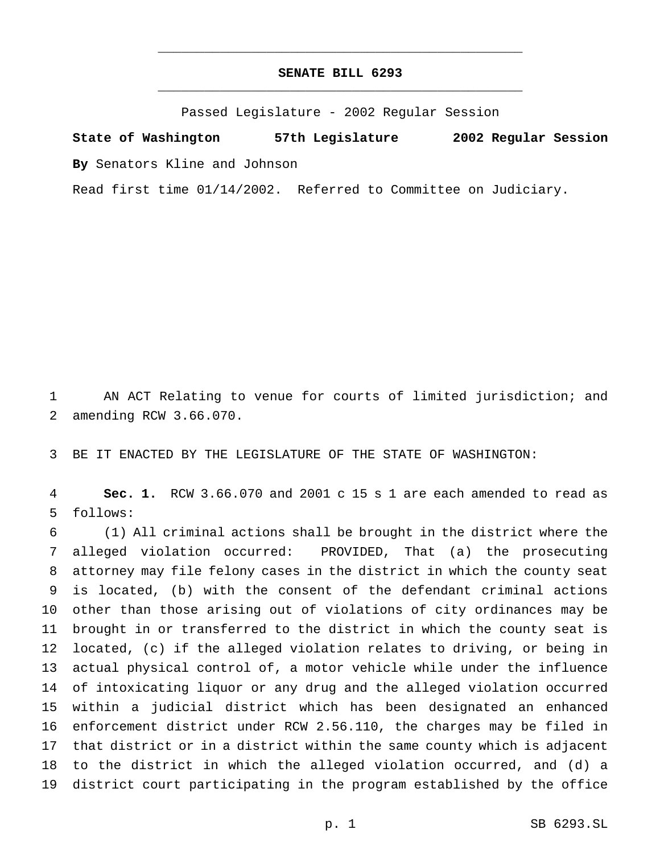## **SENATE BILL 6293** \_\_\_\_\_\_\_\_\_\_\_\_\_\_\_\_\_\_\_\_\_\_\_\_\_\_\_\_\_\_\_\_\_\_\_\_\_\_\_\_\_\_\_\_\_\_\_

\_\_\_\_\_\_\_\_\_\_\_\_\_\_\_\_\_\_\_\_\_\_\_\_\_\_\_\_\_\_\_\_\_\_\_\_\_\_\_\_\_\_\_\_\_\_\_

Passed Legislature - 2002 Regular Session

**State of Washington 57th Legislature 2002 Regular Session**

**By** Senators Kline and Johnson

Read first time 01/14/2002. Referred to Committee on Judiciary.

 AN ACT Relating to venue for courts of limited jurisdiction; and amending RCW 3.66.070.

BE IT ENACTED BY THE LEGISLATURE OF THE STATE OF WASHINGTON:

 **Sec. 1.** RCW 3.66.070 and 2001 c 15 s 1 are each amended to read as follows:

 (1) All criminal actions shall be brought in the district where the alleged violation occurred: PROVIDED, That (a) the prosecuting attorney may file felony cases in the district in which the county seat is located, (b) with the consent of the defendant criminal actions other than those arising out of violations of city ordinances may be brought in or transferred to the district in which the county seat is located, (c) if the alleged violation relates to driving, or being in actual physical control of, a motor vehicle while under the influence of intoxicating liquor or any drug and the alleged violation occurred within a judicial district which has been designated an enhanced enforcement district under RCW 2.56.110, the charges may be filed in that district or in a district within the same county which is adjacent to the district in which the alleged violation occurred, and (d) a district court participating in the program established by the office